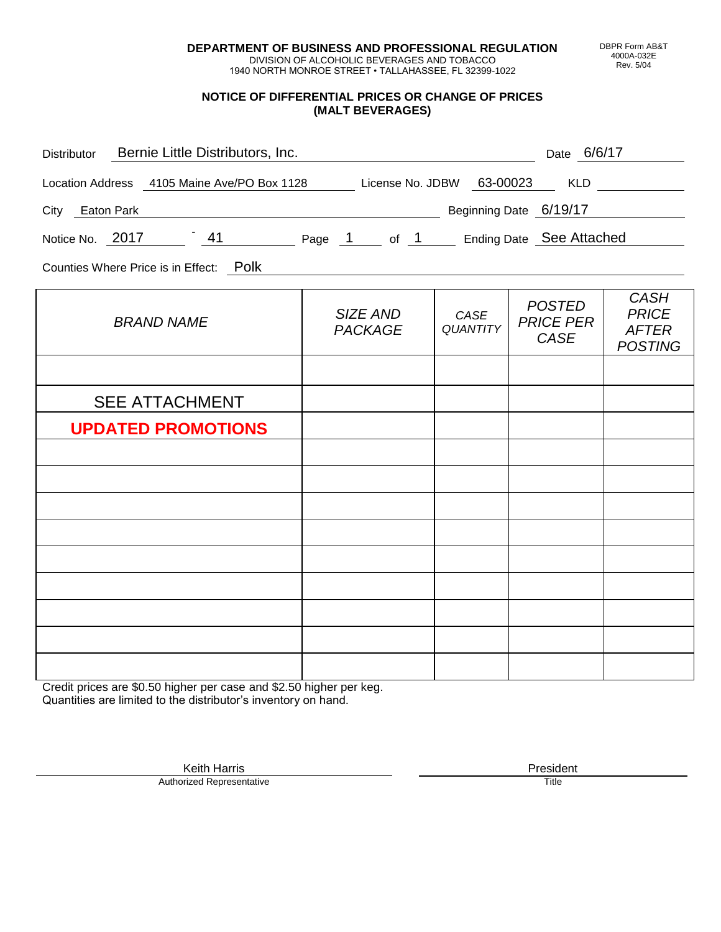**DEPARTMENT OF BUSINESS AND PROFESSIONAL REGULATION** DIVISION OF ALCOHOLIC BEVERAGES AND TOBACCO

1940 NORTH MONROE STREET • TALLAHASSEE, FL 32399-1022

### **NOTICE OF DIFFERENTIAL PRICES OR CHANGE OF PRICES (MALT BEVERAGES)**

| Distributor Bernie Little Distributors, Inc.                              |                            |                         | Date 6/6/17                               |                                                               |
|---------------------------------------------------------------------------|----------------------------|-------------------------|-------------------------------------------|---------------------------------------------------------------|
| Location Address 4105 Maine Ave/PO Box 1128 License No. JDBW 63-00023 KLD |                            |                         |                                           |                                                               |
| City Eaton Park                                                           | Beginning Date 6/19/17     |                         |                                           |                                                               |
| Notice No. 2017 141 Page 1 of 1 Ending Date See Attached                  |                            |                         |                                           |                                                               |
| Counties Where Price is in Effect: Polk                                   |                            |                         |                                           |                                                               |
| <b>BRAND NAME</b>                                                         | SIZE AND<br><b>PACKAGE</b> | CASE<br><b>QUANTITY</b> | <b>POSTED</b><br><b>PRICE PER</b><br>CASE | <b>CASH</b><br><b>PRICE</b><br><b>AFTER</b><br><b>POSTING</b> |
|                                                                           |                            |                         |                                           |                                                               |
| <b>SEE ATTACHMENT</b>                                                     |                            |                         |                                           |                                                               |
| <b>UPDATED PROMOTIONS</b>                                                 |                            |                         |                                           |                                                               |
|                                                                           |                            |                         |                                           |                                                               |
|                                                                           |                            |                         |                                           |                                                               |
|                                                                           |                            |                         |                                           |                                                               |
|                                                                           |                            |                         |                                           |                                                               |
|                                                                           |                            |                         |                                           |                                                               |
|                                                                           |                            |                         |                                           |                                                               |
|                                                                           |                            |                         |                                           |                                                               |
|                                                                           |                            |                         |                                           |                                                               |

Credit prices are \$0.50 higher per case and \$2.50 higher per keg. Quantities are limited to the distributor's inventory on hand.

> Keith Harris **President** President **President** President **President** President **President** Authorized Representative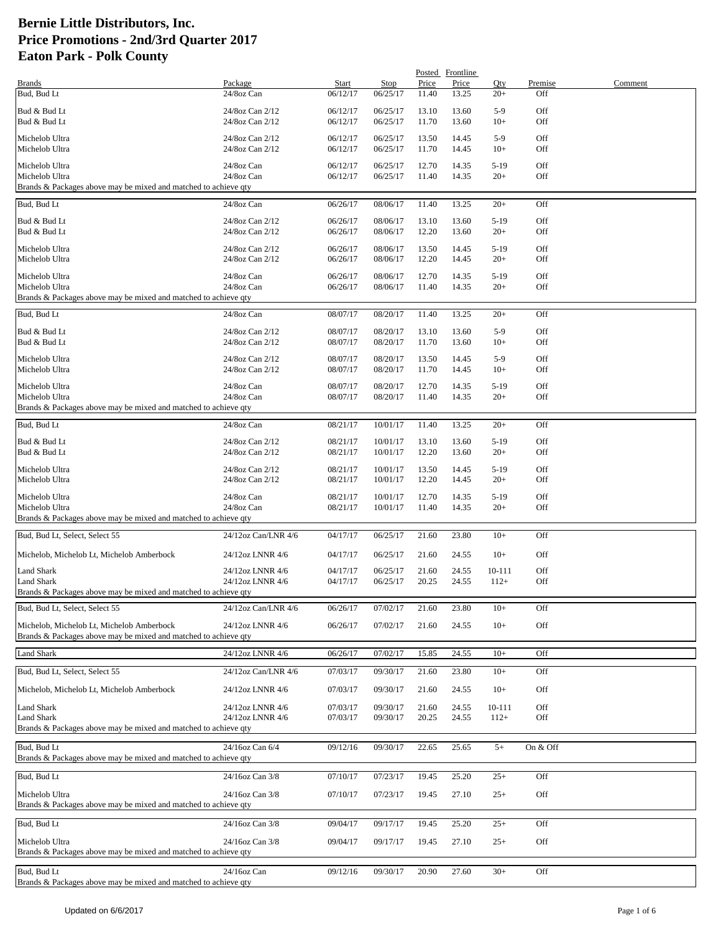|                                                                                   |                                    |                      |                      |                | Posted Frontline |                 |            |         |
|-----------------------------------------------------------------------------------|------------------------------------|----------------------|----------------------|----------------|------------------|-----------------|------------|---------|
| <b>Brands</b>                                                                     | Package                            | Start                | Stop                 | Price          | Price            | Qty             | Premise    | Comment |
| Bud, Bud Lt                                                                       | 24/8oz Can                         | 06/12/17             | 06/25/17             | 11.40          | 13.25            | $20+$           | Off        |         |
| Bud & Bud Lt                                                                      | 24/8oz Can 2/12                    | 06/12/17             | 06/25/17             | 13.10          | 13.60            | $5-9$           | Off        |         |
| Bud & Bud Lt                                                                      | 24/8oz Can 2/12                    | 06/12/17             | 06/25/17             | 11.70          | 13.60            | $10+$           | Off        |         |
| Michelob Ultra                                                                    | 24/8oz Can 2/12                    | 06/12/17             | 06/25/17             | 13.50          | 14.45            | $5-9$           | Off        |         |
| Michelob Ultra                                                                    | 24/8oz Can 2/12                    | 06/12/17             | 06/25/17             | 11.70          | 14.45            | $10+$           | Off        |         |
| Michelob Ultra                                                                    | 24/8oz Can                         | 06/12/17             | 06/25/17             | 12.70          | 14.35            | $5-19$          | Off        |         |
| Michelob Ultra                                                                    | 24/8oz Can                         | 06/12/17             | 06/25/17             | 11.40          | 14.35            | $20+$           | Off        |         |
| Brands & Packages above may be mixed and matched to achieve gty                   |                                    |                      |                      |                |                  |                 |            |         |
| Bud, Bud Lt                                                                       | 24/8oz Can                         | 06/26/17             | 08/06/17             | 11.40          | 13.25            | $20+$           | Off        |         |
| Bud & Bud Lt                                                                      | 24/8oz Can 2/12                    | 06/26/17             | 08/06/17             | 13.10          | 13.60            | $5-19$          | Off        |         |
| Bud & Bud Lt                                                                      | 24/8oz Can 2/12                    | 06/26/17             | 08/06/17             | 12.20          | 13.60            | $20+$           | Off        |         |
| Michelob Ultra                                                                    | 24/8oz Can 2/12                    | 06/26/17             | 08/06/17             | 13.50          | 14.45            | $5-19$          | Off        |         |
| Michelob Ultra                                                                    | 24/8oz Can 2/12                    | 06/26/17             | 08/06/17             | 12.20          | 14.45            | $20+$           | Off        |         |
| Michelob Ultra                                                                    | 24/8oz Can                         | 06/26/17             | 08/06/17             | 12.70          | 14.35            | $5-19$          | Off        |         |
| Michelob Ultra                                                                    | 24/8oz Can                         | 06/26/17             | 08/06/17             | 11.40          | 14.35            | $20+$           | Off        |         |
| Brands & Packages above may be mixed and matched to achieve qty                   |                                    |                      |                      |                |                  |                 |            |         |
| Bud, Bud Lt                                                                       | 24/8oz Can                         | 08/07/17             | 08/20/17             | 11.40          | 13.25            | $20+$           | Off        |         |
| Bud & Bud Lt                                                                      | 24/8oz Can 2/12                    | 08/07/17             | 08/20/17             | 13.10          | 13.60            | $5-9$           | Off        |         |
| Bud & Bud Lt                                                                      | 24/8oz Can 2/12                    | 08/07/17             | 08/20/17             | 11.70          | 13.60            | $10+$           | Off        |         |
| Michelob Ultra                                                                    | 24/8oz Can 2/12                    | 08/07/17             | 08/20/17             | 13.50          | 14.45            | $5-9$           | Off        |         |
| Michelob Ultra                                                                    | 24/8oz Can 2/12                    | 08/07/17             | 08/20/17             | 11.70          | 14.45            | $10+$           | Off        |         |
|                                                                                   |                                    |                      |                      |                |                  |                 |            |         |
| Michelob Ultra<br>Michelob Ultra                                                  | 24/8oz Can<br>24/8oz Can           | 08/07/17<br>08/07/17 | 08/20/17<br>08/20/17 | 12.70<br>11.40 | 14.35<br>14.35   | $5-19$<br>$20+$ | Off<br>Off |         |
| Brands & Packages above may be mixed and matched to achieve qty                   |                                    |                      |                      |                |                  |                 |            |         |
| Bud, Bud Lt                                                                       | 24/8oz Can                         | 08/21/17             | 10/01/17             | 11.40          | 13.25            | $20+$           | Off        |         |
|                                                                                   |                                    |                      |                      |                |                  |                 |            |         |
| Bud & Bud Lt<br>Bud & Bud Lt                                                      | 24/8oz Can 2/12<br>24/8oz Can 2/12 | 08/21/17<br>08/21/17 | 10/01/17<br>10/01/17 | 13.10<br>12.20 | 13.60<br>13.60   | $5-19$<br>$20+$ | Off<br>Off |         |
|                                                                                   |                                    |                      |                      |                |                  |                 |            |         |
| Michelob Ultra<br>Michelob Ultra                                                  | 24/8oz Can 2/12<br>24/8oz Can 2/12 | 08/21/17<br>08/21/17 | 10/01/17<br>10/01/17 | 13.50<br>12.20 | 14.45<br>14.45   | $5-19$<br>$20+$ | Off<br>Off |         |
|                                                                                   |                                    |                      |                      |                |                  |                 |            |         |
| Michelob Ultra                                                                    | 24/8oz Can<br>24/8oz Can           | 08/21/17<br>08/21/17 | 10/01/17             | 12.70          | 14.35            | $5-19$<br>$20+$ | Off        |         |
| Michelob Ultra<br>Brands & Packages above may be mixed and matched to achieve qty |                                    |                      | 10/01/17             | 11.40          | 14.35            |                 | Off        |         |
|                                                                                   |                                    |                      |                      |                |                  |                 |            |         |
| Bud, Bud Lt, Select, Select 55                                                    | 24/12oz Can/LNR 4/6                | 04/17/17             | 06/25/17             | 21.60          | 23.80            | $10+$           | Off        |         |
| Michelob, Michelob Lt, Michelob Amberbock                                         | 24/12oz LNNR 4/6                   | 04/17/17             | 06/25/17             | 21.60          | 24.55            | $10+$           | Off        |         |
| Land Shark                                                                        | 24/12oz LNNR 4/6                   | 04/17/17             | 06/25/17             | 21.60          | 24.55            | 10-111          | Off        |         |
| <b>Land Shark</b>                                                                 | 24/12oz LNNR 4/6                   | 04/17/17             | 06/25/17             | 20.25          | 24.55            | $112+$          | Off        |         |
| Brands & Packages above may be mixed and matched to achieve qty                   |                                    |                      |                      |                |                  |                 |            |         |
| Bud, Bud Lt, Select, Select 55                                                    | 24/12oz Can/LNR 4/6                | 06/26/17             | 07/02/17             | 21.60          | 23.80            | $10+$           | Off        |         |
| Michelob, Michelob Lt, Michelob Amberbock                                         | 24/12oz LNNR 4/6                   | 06/26/17             | 07/02/17             | 21.60          | 24.55            | $10+$           | Off        |         |
| Brands & Packages above may be mixed and matched to achieve qty                   |                                    |                      |                      |                |                  |                 |            |         |
| <b>Land Shark</b>                                                                 | 24/12oz LNNR 4/6                   | 06/26/17             | 07/02/17             | 15.85          | 24.55            | $10+$           | Off        |         |
|                                                                                   |                                    |                      |                      |                |                  |                 |            |         |
| Bud, Bud Lt, Select, Select 55                                                    | 24/12oz Can/LNR 4/6                | 07/03/17             | 09/30/17             | 21.60          | 23.80            | $10+$           | Off        |         |
| Michelob, Michelob Lt, Michelob Amberbock                                         | 24/12oz LNNR 4/6                   | 07/03/17             | 09/30/17             | 21.60          | 24.55            | $10+$           | Off        |         |
| Land Shark                                                                        | 24/12oz LNNR 4/6                   | 07/03/17             | 09/30/17             | 21.60          | 24.55            | 10-111          | Off        |         |
| Land Shark                                                                        | 24/12oz LNNR 4/6                   | 07/03/17             | 09/30/17             | 20.25          | 24.55            | $112+$          | Off        |         |
| Brands & Packages above may be mixed and matched to achieve gty                   |                                    |                      |                      |                |                  |                 |            |         |
| Bud, Bud Lt                                                                       | 24/16oz Can 6/4                    | 09/12/16             | 09/30/17             | 22.65          | 25.65            | $5+$            | On & Off   |         |
| Brands & Packages above may be mixed and matched to achieve qty                   |                                    |                      |                      |                |                  |                 |            |         |
| Bud, Bud Lt                                                                       | 24/16oz Can 3/8                    | 07/10/17             | 07/23/17             | 19.45          | 25.20            | $25+$           | Off        |         |
|                                                                                   |                                    |                      |                      |                |                  |                 |            |         |
| Michelob Ultra                                                                    | 24/16oz Can 3/8                    | 07/10/17             | 07/23/17             | 19.45          | 27.10            | $25+$           | Off        |         |
| Brands & Packages above may be mixed and matched to achieve qty                   |                                    |                      |                      |                |                  |                 |            |         |
| Bud, Bud Lt                                                                       | 24/16oz Can 3/8                    | 09/04/17             | 09/17/17             | 19.45          | 25.20            | $25+$           | Off        |         |
| Michelob Ultra                                                                    | 24/16oz Can 3/8                    | 09/04/17             | 09/17/17             | 19.45          | 27.10            | $25+$           | Off        |         |
| Brands & Packages above may be mixed and matched to achieve qty                   |                                    |                      |                      |                |                  |                 |            |         |
| Bud, Bud Lt                                                                       | 24/16oz Can                        | 09/12/16             | 09/30/17             | 20.90          | 27.60            | $30+$           | Off        |         |
| Brands & Packages above may be mixed and matched to achieve qty                   |                                    |                      |                      |                |                  |                 |            |         |
|                                                                                   |                                    |                      |                      |                |                  |                 |            |         |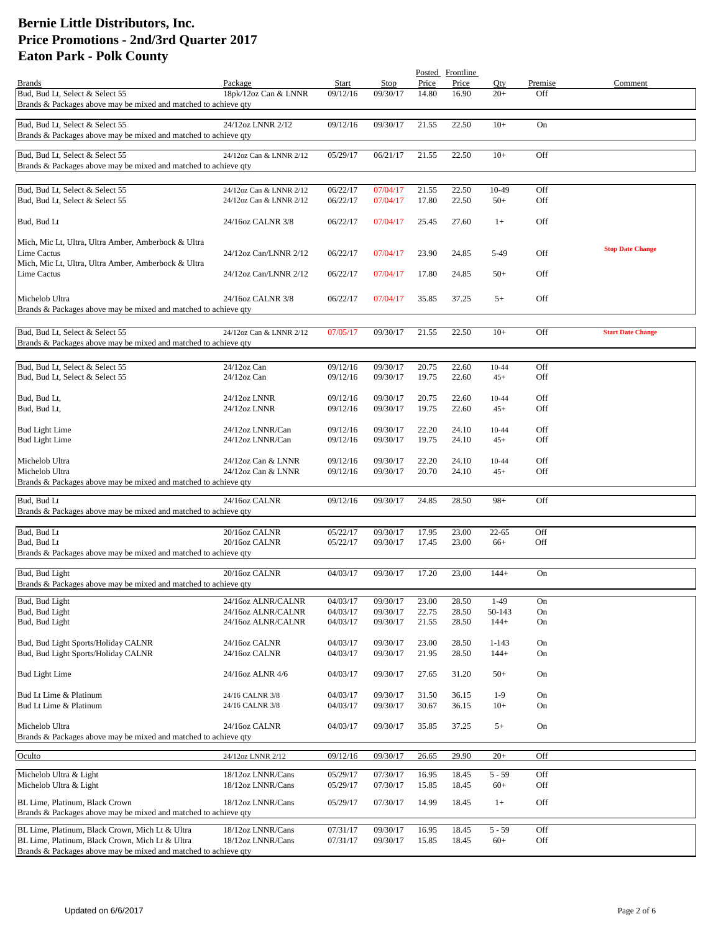|                                                                                                    |                                          |                      |                      |                | Posted Frontline |                    |            |                          |
|----------------------------------------------------------------------------------------------------|------------------------------------------|----------------------|----------------------|----------------|------------------|--------------------|------------|--------------------------|
| <b>Brands</b>                                                                                      | Package                                  | Start                | Stop                 | Price          | Price            | Oty                | Premise    | Comment                  |
| Bud, Bud Lt, Select & Select 55<br>Brands & Packages above may be mixed and matched to achieve qty | 18pk/12oz Can & LNNR                     | 09/12/16             | 09/30/17             | 14.80          | 16.90            | $20+$              | Off        |                          |
|                                                                                                    |                                          |                      |                      |                |                  |                    |            |                          |
| Bud, Bud Lt, Select & Select 55<br>Brands & Packages above may be mixed and matched to achieve qty | 24/12oz LNNR 2/12                        | 09/12/16             | 09/30/17             | 21.55          | 22.50            | $10+$              | On         |                          |
|                                                                                                    |                                          |                      |                      |                |                  |                    |            |                          |
| Bud, Bud Lt, Select & Select 55                                                                    | 24/12oz Can & LNNR 2/12                  | 05/29/17             | 06/21/17             | 21.55          | 22.50            | $10+$              | Off        |                          |
| Brands & Packages above may be mixed and matched to achieve qty                                    |                                          |                      |                      |                |                  |                    |            |                          |
|                                                                                                    |                                          |                      |                      |                |                  |                    |            |                          |
| Bud, Bud Lt, Select & Select 55                                                                    | 24/12oz Can & LNNR 2/12                  | 06/22/17             | 07/04/17             | 21.55          | 22.50            | 10-49              | Off        |                          |
| Bud, Bud Lt, Select & Select 55                                                                    | 24/12oz Can & LNNR 2/12                  | 06/22/17             | 07/04/17             | 17.80          | 22.50            | $50+$              | Off        |                          |
| Bud, Bud Lt                                                                                        | 24/16oz CALNR 3/8                        | 06/22/17             | 07/04/17             | 25.45          | 27.60            | $1+$               | Off        |                          |
| Mich, Mic Lt, Ultra, Ultra Amber, Amberbock & Ultra                                                |                                          |                      |                      |                |                  |                    |            |                          |
| Lime Cactus                                                                                        | 24/12oz Can/LNNR 2/12                    | 06/22/17             | 07/04/17             | 23.90          | 24.85            | 5-49               | <b>Off</b> | <b>Stop Date Change</b>  |
| Mich, Mic Lt, Ultra, Ultra Amber, Amberbock & Ultra                                                |                                          |                      |                      |                |                  |                    |            |                          |
| Lime Cactus                                                                                        | 24/12oz Can/LNNR 2/12                    | 06/22/17             | 07/04/17             | 17.80          | 24.85            | $50+$              | Off        |                          |
| Michelob Ultra                                                                                     | 24/16oz CALNR 3/8                        | 06/22/17             | 07/04/17             | 35.85          | 37.25            | $5+$               | Off        |                          |
| Brands & Packages above may be mixed and matched to achieve qty                                    |                                          |                      |                      |                |                  |                    |            |                          |
|                                                                                                    |                                          |                      |                      |                |                  |                    |            |                          |
| Bud, Bud Lt, Select & Select 55<br>Brands & Packages above may be mixed and matched to achieve qty | 24/12oz Can & LNNR 2/12                  | 07/05/17             | 09/30/17             | 21.55          | 22.50            | $10+$              | Off        | <b>Start Date Change</b> |
|                                                                                                    |                                          |                      |                      |                |                  |                    |            |                          |
| Bud, Bud Lt, Select & Select 55                                                                    | 24/12oz Can                              | 09/12/16             | 09/30/17             | 20.75          | 22.60            | $10 - 44$          | Off        |                          |
| Bud, Bud Lt, Select & Select 55                                                                    | $24/12$ oz Can                           | 09/12/16             | 09/30/17             | 19.75          | 22.60            | $45+$              | Off        |                          |
|                                                                                                    |                                          |                      |                      |                |                  |                    | Off        |                          |
| Bud, Bud Lt,<br>Bud, Bud Lt,                                                                       | 24/12oz LNNR<br>24/12oz LNNR             | 09/12/16<br>09/12/16 | 09/30/17<br>09/30/17 | 20.75<br>19.75 | 22.60<br>22.60   | $10 - 44$<br>$45+$ | <b>Off</b> |                          |
|                                                                                                    |                                          |                      |                      |                |                  |                    |            |                          |
| <b>Bud Light Lime</b>                                                                              | 24/12oz LNNR/Can                         | 09/12/16             | 09/30/17             | 22.20          | 24.10            | 10-44              | Off        |                          |
| <b>Bud Light Lime</b>                                                                              | 24/12oz LNNR/Can                         | 09/12/16             | 09/30/17             | 19.75          | 24.10            | $45+$              | <b>Off</b> |                          |
|                                                                                                    |                                          |                      |                      |                |                  |                    |            |                          |
| Michelob Ultra<br>Michelob Ultra                                                                   | 24/12oz Can & LNNR<br>24/12oz Can & LNNR | 09/12/16<br>09/12/16 | 09/30/17<br>09/30/17 | 22.20<br>20.70 | 24.10<br>24.10   | 10-44<br>$45+$     | Off<br>Off |                          |
| Brands & Packages above may be mixed and matched to achieve qty                                    |                                          |                      |                      |                |                  |                    |            |                          |
|                                                                                                    |                                          |                      |                      |                |                  |                    |            |                          |
| Bud, Bud Lt                                                                                        | 24/16oz CALNR                            | 09/12/16             | 09/30/17             | 24.85          | 28.50            | $98+$              | Off        |                          |
| Brands & Packages above may be mixed and matched to achieve qty                                    |                                          |                      |                      |                |                  |                    |            |                          |
| Bud, Bud Lt                                                                                        | 20/16oz CALNR                            | 05/22/17             | 09/30/17             | 17.95          | 23.00            | $22 - 65$          | Off        |                          |
| Bud, Bud Lt                                                                                        | 20/16oz CALNR                            | 05/22/17             | 09/30/17             | 17.45          | 23.00            | $66+$              | Off        |                          |
| Brands & Packages above may be mixed and matched to achieve qty                                    |                                          |                      |                      |                |                  |                    |            |                          |
| Bud, Bud Light                                                                                     | 20/16oz CALNR                            | 04/03/17             | 09/30/17             | 17.20          | 23.00            | $144+$             | On         |                          |
| Brands & Packages above may be mixed and matched to achieve qty                                    |                                          |                      |                      |                |                  |                    |            |                          |
|                                                                                                    |                                          |                      |                      |                |                  |                    |            |                          |
| Bud, Bud Light<br>Bud, Bud Light                                                                   | 24/16oz ALNR/CALNR<br>24/16oz ALNR/CALNR | 04/03/17<br>04/03/17 | 09/30/17<br>09/30/17 | 23.00<br>22.75 | 28.50<br>28.50   | $1-49$<br>50-143   | On<br>On   |                          |
| Bud, Bud Light                                                                                     | 24/16oz ALNR/CALNR                       | 04/03/17             | 09/30/17             | 21.55          | 28.50            | $144+$             | On         |                          |
|                                                                                                    |                                          |                      |                      |                |                  |                    |            |                          |
| Bud, Bud Light Sports/Holiday CALNR                                                                | 24/16oz CALNR                            | 04/03/17             | 09/30/17             | 23.00          | 28.50            | $1 - 143$          | On         |                          |
| Bud, Bud Light Sports/Holiday CALNR                                                                | 24/16oz CALNR                            | 04/03/17             | 09/30/17             | 21.95          | 28.50            | $144+$             | On         |                          |
| <b>Bud Light Lime</b>                                                                              | 24/16oz ALNR 4/6                         | 04/03/17             | 09/30/17             | 27.65          | 31.20            | $50+$              | On         |                          |
|                                                                                                    |                                          |                      |                      |                |                  |                    |            |                          |
| Bud Lt Lime & Platinum<br>Bud Lt Lime & Platinum                                                   | 24/16 CALNR 3/8<br>24/16 CALNR 3/8       | 04/03/17<br>04/03/17 | 09/30/17<br>09/30/17 | 31.50<br>30.67 | 36.15<br>36.15   | $1-9$<br>$10+$     | On<br>On   |                          |
|                                                                                                    |                                          |                      |                      |                |                  |                    |            |                          |
| Michelob Ultra                                                                                     | 24/16oz CALNR                            | 04/03/17             | 09/30/17             | 35.85          | 37.25            | $5+$               | On         |                          |
| Brands & Packages above may be mixed and matched to achieve qty                                    |                                          |                      |                      |                |                  |                    |            |                          |
| Oculto                                                                                             | 24/12oz LNNR 2/12                        | 09/12/16             | 09/30/17             | 26.65          | 29.90            | $20+$              | Off        |                          |
|                                                                                                    |                                          |                      |                      |                |                  |                    | Off        |                          |
| Michelob Ultra & Light<br>Michelob Ultra & Light                                                   | 18/12oz LNNR/Cans<br>18/12oz LNNR/Cans   | 05/29/17<br>05/29/17 | 07/30/17<br>07/30/17 | 16.95<br>15.85 | 18.45<br>18.45   | $5 - 59$<br>$60+$  | Off        |                          |
|                                                                                                    |                                          |                      |                      |                |                  |                    |            |                          |
| BL Lime, Platinum, Black Crown                                                                     | 18/12oz LNNR/Cans                        | 05/29/17             | 07/30/17             | 14.99          | 18.45            | $1+$               | Off        |                          |
| Brands & Packages above may be mixed and matched to achieve qty                                    |                                          |                      |                      |                |                  |                    |            |                          |
| BL Lime, Platinum, Black Crown, Mich Lt & Ultra                                                    | 18/12oz LNNR/Cans                        | 07/31/17             | 09/30/17             | 16.95          | 18.45            | $5 - 59$           | Off        |                          |
| BL Lime, Platinum, Black Crown, Mich Lt & Ultra                                                    | 18/12oz LNNR/Cans                        | 07/31/17             | 09/30/17             | 15.85          | 18.45            | $60+$              | Off        |                          |
| Brands & Packages above may be mixed and matched to achieve qty                                    |                                          |                      |                      |                |                  |                    |            |                          |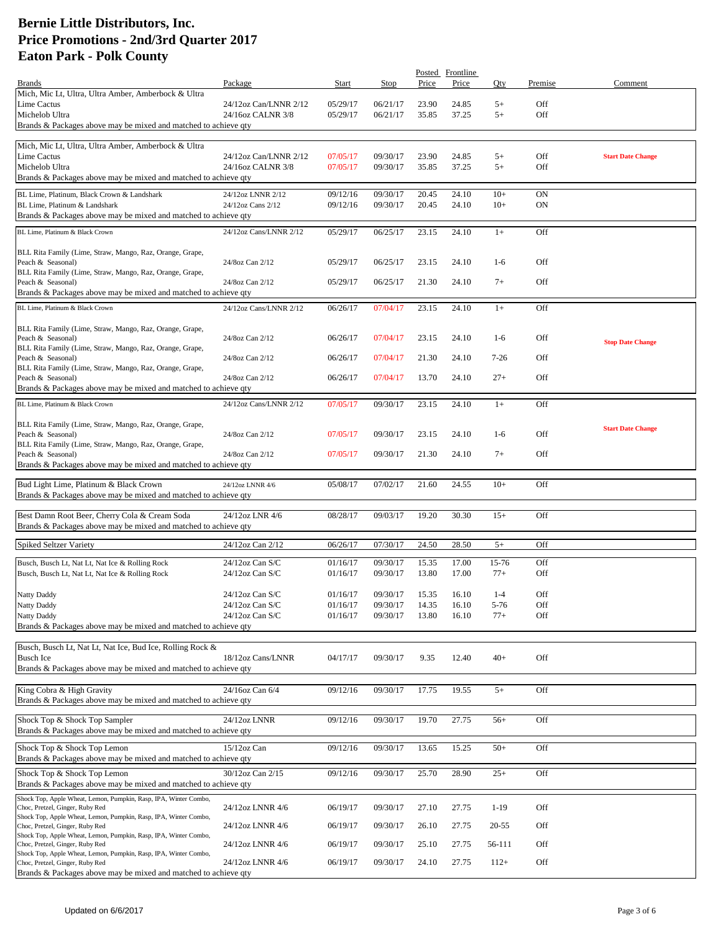|                                                                                                                                                                        |                        |          |          |       | Posted Frontline |          |            |                          |
|------------------------------------------------------------------------------------------------------------------------------------------------------------------------|------------------------|----------|----------|-------|------------------|----------|------------|--------------------------|
| <b>Brands</b><br>Mich, Mic Lt, Ultra, Ultra Amber, Amberbock & Ultra                                                                                                   | Package                | Start    | Stop     | Price | Price            | Oty      | Premise    | Comment                  |
| Lime Cactus                                                                                                                                                            | 24/12oz Can/LNNR 2/12  | 05/29/17 | 06/21/17 | 23.90 | 24.85            | $5+$     | Off        |                          |
| Michelob Ultra                                                                                                                                                         | 24/16oz CALNR 3/8      | 05/29/17 | 06/21/17 | 35.85 | 37.25            | $5+$     | Off        |                          |
| Brands & Packages above may be mixed and matched to achieve qty                                                                                                        |                        |          |          |       |                  |          |            |                          |
| Mich, Mic Lt, Ultra, Ultra Amber, Amberbock & Ultra                                                                                                                    |                        |          |          |       |                  |          |            |                          |
| Lime Cactus                                                                                                                                                            | 24/12oz Can/LNNR 2/12  | 07/05/17 | 09/30/17 | 23.90 | 24.85            | $5+$     | Off        | <b>Start Date Change</b> |
| Michelob Ultra                                                                                                                                                         | 24/16oz CALNR 3/8      | 07/05/17 | 09/30/17 | 35.85 | 37.25            | $5+$     | Off        |                          |
| Brands & Packages above may be mixed and matched to achieve qty                                                                                                        |                        |          |          |       |                  |          |            |                          |
| BL Lime, Platinum, Black Crown & Landshark                                                                                                                             | 24/12oz LNNR 2/12      | 09/12/16 | 09/30/17 | 20.45 | 24.10            | $10+$    | <b>ON</b>  |                          |
| BL Lime, Platinum & Landshark<br>Brands & Packages above may be mixed and matched to achieve qty                                                                       | 24/12oz Cans 2/12      | 09/12/16 | 09/30/17 | 20.45 | 24.10            | $10+$    | <b>ON</b>  |                          |
|                                                                                                                                                                        |                        |          |          |       |                  |          |            |                          |
| BL Lime. Platinum & Black Crown                                                                                                                                        | 24/12oz Cans/LNNR 2/12 | 05/29/17 | 06/25/17 | 23.15 | 24.10            | $1+$     | Off        |                          |
| BLL Rita Family (Lime, Straw, Mango, Raz, Orange, Grape,                                                                                                               |                        |          |          |       |                  |          |            |                          |
| Peach & Seasonal)                                                                                                                                                      | 24/8oz Can 2/12        | 05/29/17 | 06/25/17 | 23.15 | 24.10            | $1-6$    | Off        |                          |
| BLL Rita Family (Lime, Straw, Mango, Raz, Orange, Grape,                                                                                                               |                        |          |          |       |                  |          |            |                          |
| Peach & Seasonal)<br>Brands & Packages above may be mixed and matched to achieve qty                                                                                   | 24/8oz Can 2/12        | 05/29/17 | 06/25/17 | 21.30 | 24.10            | $7+$     | Off        |                          |
| BL Lime, Platinum & Black Crown                                                                                                                                        |                        | 06/26/17 |          | 23.15 |                  |          | Off        |                          |
|                                                                                                                                                                        | 24/12oz Cans/LNNR 2/12 |          | 07/04/17 |       | 24.10            | $1+$     |            |                          |
| BLL Rita Family (Lime, Straw, Mango, Raz, Orange, Grape,                                                                                                               |                        |          |          |       |                  |          |            |                          |
| Peach & Seasonal)                                                                                                                                                      | 24/8oz Can 2/12        | 06/26/17 | 07/04/17 | 23.15 | 24.10            | $1-6$    | <b>Off</b> | <b>Stop Date Change</b>  |
| BLL Rita Family (Lime, Straw, Mango, Raz, Orange, Grape,<br>Peach & Seasonal)                                                                                          | 24/8oz Can 2/12        | 06/26/17 | 07/04/17 | 21.30 | 24.10            | $7 - 26$ | Off        |                          |
| BLL Rita Family (Lime, Straw, Mango, Raz, Orange, Grape,                                                                                                               |                        |          |          |       |                  |          |            |                          |
| Peach & Seasonal)                                                                                                                                                      | 24/8oz Can 2/12        | 06/26/17 | 07/04/17 | 13.70 | 24.10            | $27+$    | Off        |                          |
| Brands & Packages above may be mixed and matched to achieve qty                                                                                                        |                        |          |          |       |                  |          |            |                          |
| BL Lime. Platinum & Black Crown                                                                                                                                        | 24/12oz Cans/LNNR 2/12 | 07/05/17 | 09/30/17 | 23.15 | 24.10            | $1+$     | Off        |                          |
|                                                                                                                                                                        |                        |          |          |       |                  |          |            |                          |
| BLL Rita Family (Lime, Straw, Mango, Raz, Orange, Grape,<br>Peach & Seasonal)                                                                                          | 24/8oz Can 2/12        | 07/05/17 | 09/30/17 | 23.15 | 24.10            | $1-6$    | <b>Off</b> | <b>Start Date Change</b> |
| BLL Rita Family (Lime, Straw, Mango, Raz, Orange, Grape,                                                                                                               |                        |          |          |       |                  |          |            |                          |
| Peach & Seasonal)                                                                                                                                                      | 24/8oz Can 2/12        | 07/05/17 | 09/30/17 | 21.30 | 24.10            | $7+$     | Off        |                          |
| Brands & Packages above may be mixed and matched to achieve qty                                                                                                        |                        |          |          |       |                  |          |            |                          |
| Bud Light Lime, Platinum & Black Crown                                                                                                                                 | 24/12oz LNNR 4/6       | 05/08/17 | 07/02/17 | 21.60 | 24.55            | $10+$    | Off        |                          |
| Brands & Packages above may be mixed and matched to achieve qty                                                                                                        |                        |          |          |       |                  |          |            |                          |
| Best Damn Root Beer, Cherry Cola & Cream Soda                                                                                                                          | 24/12oz LNR 4/6        | 08/28/17 | 09/03/17 | 19.20 | 30.30            | $15+$    | Off        |                          |
| Brands & Packages above may be mixed and matched to achieve qty                                                                                                        |                        |          |          |       |                  |          |            |                          |
|                                                                                                                                                                        |                        |          |          |       |                  |          |            |                          |
| Spiked Seltzer Variety                                                                                                                                                 | 24/12oz Can 2/12       | 06/26/17 | 07/30/17 | 24.50 | 28.50            | $5+$     | Off        |                          |
| Busch, Busch Lt, Nat Lt, Nat Ice & Rolling Rock                                                                                                                        | 24/12oz Can S/C        | 01/16/17 | 09/30/17 | 15.35 | 17.00            | 15-76    | Off        |                          |
| Busch, Busch Lt, Nat Lt, Nat Ice & Rolling Rock                                                                                                                        | 24/12oz Can S/C        | 01/16/17 | 09/30/17 | 13.80 | 17.00            | $77+$    | <b>Off</b> |                          |
| Natty Daddy                                                                                                                                                            | 24/12oz Can S/C        | 01/16/17 | 09/30/17 | 15.35 | 16.10            | $1-4$    | Off        |                          |
| Natty Daddy                                                                                                                                                            | 24/12oz Can S/C        | 01/16/17 | 09/30/17 | 14.35 | 16.10            | $5 - 76$ | Off        |                          |
| <b>Natty Daddy</b>                                                                                                                                                     | 24/12oz Can S/C        | 01/16/17 | 09/30/17 | 13.80 | 16.10            | $77+$    | Off        |                          |
| Brands & Packages above may be mixed and matched to achieve qty                                                                                                        |                        |          |          |       |                  |          |            |                          |
| Busch, Busch Lt, Nat Lt, Nat Ice, Bud Ice, Rolling Rock &                                                                                                              |                        |          |          |       |                  |          |            |                          |
| <b>Busch Ice</b>                                                                                                                                                       | 18/12oz Cans/LNNR      | 04/17/17 | 09/30/17 | 9.35  | 12.40            | $40+$    | Off        |                          |
| Brands & Packages above may be mixed and matched to achieve qty                                                                                                        |                        |          |          |       |                  |          |            |                          |
|                                                                                                                                                                        |                        |          |          |       |                  |          |            |                          |
| King Cobra & High Gravity                                                                                                                                              | 24/16oz Can 6/4        | 09/12/16 | 09/30/17 | 17.75 | 19.55            | $5+$     | Off        |                          |
| Brands & Packages above may be mixed and matched to achieve qty                                                                                                        |                        |          |          |       |                  |          |            |                          |
| Shock Top & Shock Top Sampler                                                                                                                                          | 24/12oz LNNR           | 09/12/16 | 09/30/17 | 19.70 | 27.75            | $56+$    | Off        |                          |
| Brands & Packages above may be mixed and matched to achieve qty                                                                                                        |                        |          |          |       |                  |          |            |                          |
| Shock Top & Shock Top Lemon                                                                                                                                            | 15/12oz Can            | 09/12/16 | 09/30/17 | 13.65 | 15.25            | $50+$    | Off        |                          |
| Brands & Packages above may be mixed and matched to achieve qty                                                                                                        |                        |          |          |       |                  |          |            |                          |
| Shock Top & Shock Top Lemon                                                                                                                                            | 30/12oz Can 2/15       | 09/12/16 | 09/30/17 | 25.70 | 28.90            | $25+$    | Off        |                          |
| Brands & Packages above may be mixed and matched to achieve qty                                                                                                        |                        |          |          |       |                  |          |            |                          |
| Shock Top, Apple Wheat, Lemon, Pumpkin, Rasp, IPA, Winter Combo,                                                                                                       |                        |          |          |       |                  |          |            |                          |
| Choc, Pretzel, Ginger, Ruby Red                                                                                                                                        | 24/12oz LNNR 4/6       | 06/19/17 | 09/30/17 | 27.10 | 27.75            | $1-19$   | Off        |                          |
| Shock Top, Apple Wheat, Lemon, Pumpkin, Rasp, IPA, Winter Combo,<br>Choc, Pretzel, Ginger, Ruby Red                                                                    | 24/12oz LNNR 4/6       | 06/19/17 | 09/30/17 | 26.10 | 27.75            | 20-55    | Off        |                          |
| Shock Top, Apple Wheat, Lemon, Pumpkin, Rasp, IPA, Winter Combo,                                                                                                       |                        |          |          |       |                  |          |            |                          |
|                                                                                                                                                                        |                        |          |          |       |                  |          |            |                          |
| Choc, Pretzel, Ginger, Ruby Red                                                                                                                                        | 24/12oz LNNR 4/6       | 06/19/17 | 09/30/17 | 25.10 | 27.75            | 56-111   | Off        |                          |
| Shock Top, Apple Wheat, Lemon, Pumpkin, Rasp, IPA, Winter Combo,<br>Choc, Pretzel, Ginger, Ruby Red<br>Brands & Packages above may be mixed and matched to achieve qty | 24/12oz LNNR 4/6       | 06/19/17 | 09/30/17 | 24.10 | 27.75            | $112+$   | Off        |                          |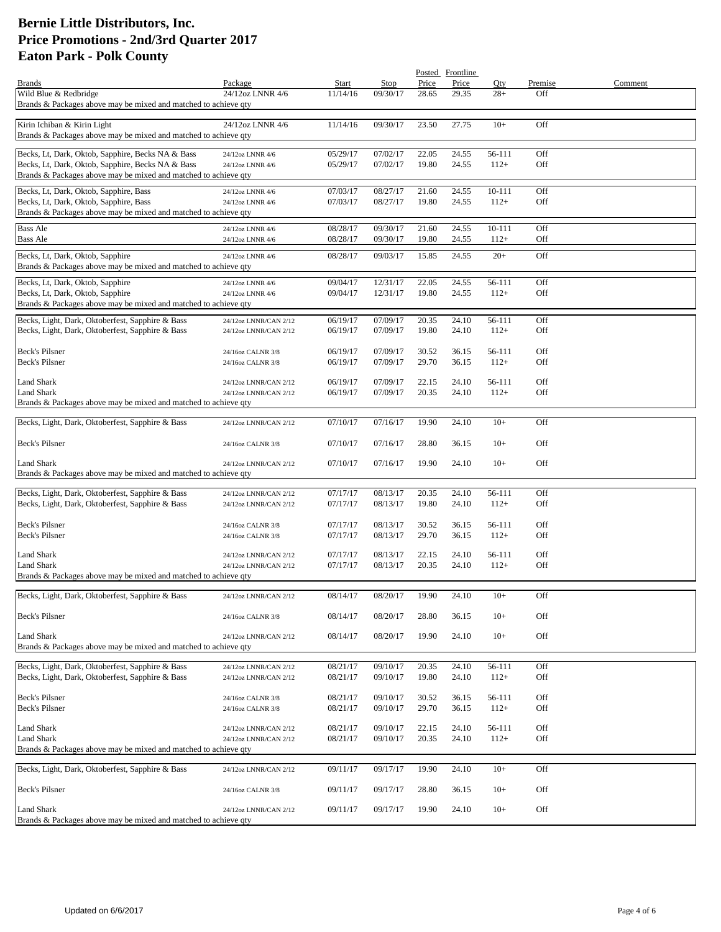|                                                                 |                       |          |                      |       | Posted Frontline |                  |         |         |
|-----------------------------------------------------------------|-----------------------|----------|----------------------|-------|------------------|------------------|---------|---------|
| <b>Brands</b>                                                   | Package               | Start    | Stop                 | Price | Price            | Qty              | Premise | Comment |
| Wild Blue & Redbridge                                           | 24/12oz LNNR 4/6      | 11/14/16 | 09/30/17             | 28.65 | 29.35            | $28+$            | Off     |         |
| Brands & Packages above may be mixed and matched to achieve qty |                       |          |                      |       |                  |                  |         |         |
|                                                                 |                       |          |                      |       |                  |                  |         |         |
| Kirin Ichiban & Kirin Light                                     | 24/12oz LNNR 4/6      | 11/14/16 | 09/30/17             | 23.50 | 27.75            | $10+$            | Off     |         |
| Brands & Packages above may be mixed and matched to achieve qty |                       |          |                      |       |                  |                  |         |         |
|                                                                 |                       |          |                      |       |                  |                  |         |         |
| Becks, Lt, Dark, Oktob, Sapphire, Becks NA & Bass               | 24/12oz LNNR 4/6      | 05/29/17 | 07/02/17             | 22.05 | 24.55            | 56-111           | Off     |         |
| Becks, Lt, Dark, Oktob, Sapphire, Becks NA & Bass               | 24/12oz LNNR 4/6      | 05/29/17 | 07/02/17             | 19.80 | 24.55            | $112+$           | Off     |         |
| Brands & Packages above may be mixed and matched to achieve qty |                       |          |                      |       |                  |                  |         |         |
| Becks, Lt, Dark, Oktob, Sapphire, Bass                          | 24/12oz LNNR 4/6      | 07/03/17 | 08/27/17             | 21.60 | 24.55            | 10-111           | Off     |         |
| Becks, Lt, Dark, Oktob, Sapphire, Bass                          | 24/12oz LNNR 4/6      | 07/03/17 | 08/27/17             | 19.80 | 24.55            | $112+$           | Off     |         |
| Brands & Packages above may be mixed and matched to achieve qty |                       |          |                      |       |                  |                  |         |         |
|                                                                 |                       |          |                      |       |                  |                  |         |         |
| <b>Bass Ale</b>                                                 | 24/12oz LNNR 4/6      | 08/28/17 | 09/30/17             | 21.60 | 24.55            | 10-111           | Off     |         |
| <b>Bass Ale</b>                                                 | 24/12oz LNNR 4/6      | 08/28/17 | 09/30/17             | 19.80 | 24.55            | $112+$           | Off     |         |
| Becks, Lt, Dark, Oktob, Sapphire                                | 24/12oz LNNR 4/6      | 08/28/17 | 09/03/17             | 15.85 | 24.55            | $20+$            | Off     |         |
| Brands & Packages above may be mixed and matched to achieve qty |                       |          |                      |       |                  |                  |         |         |
|                                                                 |                       |          |                      |       |                  |                  |         |         |
| Becks, Lt, Dark, Oktob, Sapphire                                | 24/12oz LNNR 4/6      | 09/04/17 | 12/31/17             | 22.05 | 24.55            | 56-111           | Off     |         |
| Becks, Lt, Dark, Oktob, Sapphire                                | 24/12oz LNNR 4/6      | 09/04/17 | 12/31/17             | 19.80 | 24.55            | $112+$           | Off     |         |
| Brands & Packages above may be mixed and matched to achieve qty |                       |          |                      |       |                  |                  |         |         |
| Becks, Light, Dark, Oktoberfest, Sapphire & Bass                | 24/12oz LNNR/CAN 2/12 | 06/19/17 | 07/09/17             | 20.35 | 24.10            | 56-111           | Off     |         |
| Becks, Light, Dark, Oktoberfest, Sapphire & Bass                | 24/12oz LNNR/CAN 2/12 | 06/19/17 | 07/09/17             | 19.80 | 24.10            | $112+$           | Off     |         |
|                                                                 |                       |          |                      |       |                  |                  |         |         |
| Beck's Pilsner                                                  | 24/16oz CALNR 3/8     | 06/19/17 | 07/09/17             | 30.52 | 36.15            | 56-111           | Off     |         |
| Beck's Pilsner                                                  | 24/16oz CALNR 3/8     | 06/19/17 | 07/09/17             | 29.70 | 36.15            | $112+$           | Off     |         |
|                                                                 |                       |          |                      |       |                  |                  |         |         |
| Land Shark                                                      | 24/12oz LNNR/CAN 2/12 | 06/19/17 | 07/09/17             | 22.15 | 24.10            | 56-111           | Off     |         |
| <b>Land Shark</b>                                               | 24/12oz LNNR/CAN 2/12 | 06/19/17 | 07/09/17             | 20.35 | 24.10            | $112+$           | Off     |         |
| Brands & Packages above may be mixed and matched to achieve qty |                       |          |                      |       |                  |                  |         |         |
|                                                                 |                       |          |                      |       |                  |                  |         |         |
| Becks, Light, Dark, Oktoberfest, Sapphire & Bass                | 24/12oz LNNR/CAN 2/12 | 07/10/17 | 07/16/17             | 19.90 | 24.10            | $10+$            | Off     |         |
|                                                                 |                       |          |                      |       |                  |                  |         |         |
| Beck's Pilsner                                                  | 24/16oz CALNR 3/8     | 07/10/17 | 07/16/17             | 28.80 | 36.15            | $10+$            | Off     |         |
|                                                                 |                       |          |                      |       |                  |                  |         |         |
| Land Shark                                                      | 24/12oz LNNR/CAN 2/12 | 07/10/17 | 07/16/17             | 19.90 | 24.10            | $10+$            | Off     |         |
| Brands & Packages above may be mixed and matched to achieve qty |                       |          |                      |       |                  |                  |         |         |
|                                                                 |                       |          |                      |       |                  |                  |         |         |
| Becks, Light, Dark, Oktoberfest, Sapphire & Bass                | 24/12oz LNNR/CAN 2/12 | 07/17/17 | 08/13/17             | 20.35 | 24.10            | 56-111           | Off     |         |
| Becks, Light, Dark, Oktoberfest, Sapphire & Bass                | 24/12oz LNNR/CAN 2/12 | 07/17/17 | 08/13/17             | 19.80 | 24.10            | $112+$           | Off     |         |
| Beck's Pilsner                                                  |                       |          |                      |       |                  |                  | Off     |         |
| Beck's Pilsner                                                  | 24/16oz CALNR 3/8     | 07/17/17 | 08/13/17<br>08/13/17 | 30.52 | 36.15            | 56-111<br>$112+$ | Off     |         |
|                                                                 | 24/16oz CALNR 3/8     | 07/17/17 |                      | 29.70 | 36.15            |                  |         |         |
| Land Shark                                                      | 24/12oz LNNR/CAN 2/12 | 07/17/17 | 08/13/17             | 22.15 | 24.10            | 56-111           | Off     |         |
| <b>Land Shark</b>                                               | 24/12oz LNNR/CAN 2/12 | 07/17/17 | 08/13/17             | 20.35 | 24.10            | $112+$           | Off     |         |
| Brands & Packages above may be mixed and matched to achieve qty |                       |          |                      |       |                  |                  |         |         |
|                                                                 |                       |          |                      |       |                  |                  |         |         |
| Becks, Light, Dark, Oktoberfest, Sapphire & Bass                | 24/12oz LNNR/CAN 2/12 | 08/14/17 | 08/20/17             | 19.90 | 24.10            | $10+$            | Off     |         |
|                                                                 |                       |          |                      |       |                  |                  |         |         |
| Beck's Pilsner                                                  | 24/16oz CALNR 3/8     | 08/14/17 | 08/20/17             | 28.80 | 36.15            | $10+$            | Off     |         |
|                                                                 |                       |          |                      |       |                  |                  |         |         |
| <b>Land Shark</b>                                               | 24/12oz LNNR/CAN 2/12 | 08/14/17 | 08/20/17             | 19.90 | 24.10            | $10+$            | Off     |         |
| Brands & Packages above may be mixed and matched to achieve qty |                       |          |                      |       |                  |                  |         |         |
|                                                                 |                       |          |                      |       |                  |                  |         |         |
| Becks, Light, Dark, Oktoberfest, Sapphire & Bass                | 24/12oz LNNR/CAN 2/12 | 08/21/17 | 09/10/17             | 20.35 | 24.10            | 56-111           | Off     |         |
| Becks, Light, Dark, Oktoberfest, Sapphire & Bass                | 24/12oz LNNR/CAN 2/12 | 08/21/17 | 09/10/17             | 19.80 | 24.10            | $112+$           | Off     |         |
|                                                                 |                       |          |                      |       |                  |                  |         |         |
| Beck's Pilsner                                                  | 24/16oz CALNR 3/8     | 08/21/17 | 09/10/17             | 30.52 | 36.15            | 56-111           | Off     |         |
| Beck's Pilsner                                                  | 24/16oz CALNR 3/8     | 08/21/17 | 09/10/17             | 29.70 | 36.15            | $112+$           | Off     |         |
|                                                                 |                       |          |                      |       |                  |                  |         |         |
| Land Shark                                                      | 24/12oz LNNR/CAN 2/12 | 08/21/17 | 09/10/17             | 22.15 | 24.10            | 56-111           | Off     |         |
| Land Shark                                                      | 24/12oz LNNR/CAN 2/12 | 08/21/17 | 09/10/17             | 20.35 | 24.10            | $112+$           | Off     |         |
| Brands & Packages above may be mixed and matched to achieve qty |                       |          |                      |       |                  |                  |         |         |
|                                                                 |                       |          |                      |       |                  |                  |         |         |
| Becks, Light, Dark, Oktoberfest, Sapphire & Bass                | 24/12oz LNNR/CAN 2/12 | 09/11/17 | 09/17/17             | 19.90 | 24.10            | $10+$            | Off     |         |
|                                                                 |                       |          |                      |       |                  |                  |         |         |
| Beck's Pilsner                                                  | 24/16oz CALNR 3/8     | 09/11/17 | 09/17/17             | 28.80 | 36.15            | $10+$            | Off     |         |
| Land Shark                                                      | 24/12oz LNNR/CAN 2/12 | 09/11/17 | 09/17/17             | 19.90 | 24.10            | $10+$            | Off     |         |
| Brands & Packages above may be mixed and matched to achieve qty |                       |          |                      |       |                  |                  |         |         |
|                                                                 |                       |          |                      |       |                  |                  |         |         |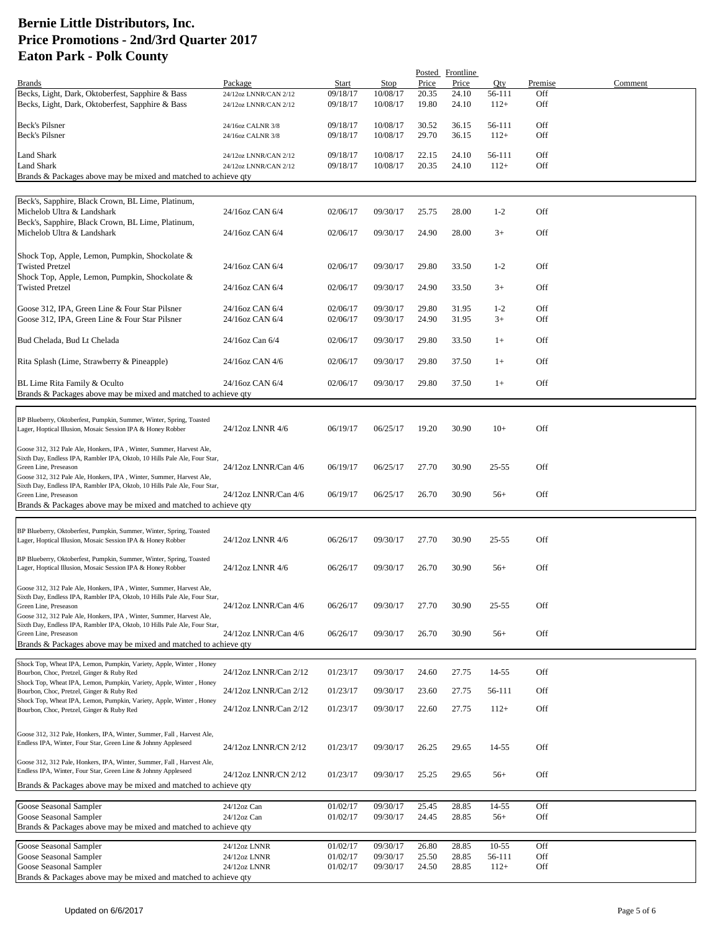|                                                                           |                       |          |          |       | Posted Frontline |           |         |         |
|---------------------------------------------------------------------------|-----------------------|----------|----------|-------|------------------|-----------|---------|---------|
| <b>Brands</b>                                                             | Package               | Start    | Stop     | Price | Price            | Qty       | Premise | Comment |
| Becks, Light, Dark, Oktoberfest, Sapphire & Bass                          | 24/12oz LNNR/CAN 2/12 | 09/18/17 | 10/08/17 | 20.35 | 24.10            | 56-111    | Off     |         |
| Becks, Light, Dark, Oktoberfest, Sapphire & Bass                          | 24/12oz LNNR/CAN 2/12 | 09/18/17 | 10/08/17 | 19.80 | 24.10            | $112+$    | Off     |         |
|                                                                           |                       |          |          |       |                  |           |         |         |
| Beck's Pilsner                                                            | 24/16oz CALNR 3/8     | 09/18/17 | 10/08/17 | 30.52 | 36.15            | 56-111    | Off     |         |
| Beck's Pilsner                                                            | 24/16oz CALNR 3/8     | 09/18/17 | 10/08/17 | 29.70 | 36.15            | $112+$    | Off     |         |
|                                                                           |                       |          |          |       |                  |           |         |         |
| Land Shark                                                                | 24/12oz LNNR/CAN 2/12 | 09/18/17 | 10/08/17 | 22.15 | 24.10            | 56-111    | Off     |         |
| Land Shark                                                                |                       | 09/18/17 | 10/08/17 | 20.35 | 24.10            | $112+$    | Off     |         |
|                                                                           | 24/12oz LNNR/CAN 2/12 |          |          |       |                  |           |         |         |
| Brands & Packages above may be mixed and matched to achieve qty           |                       |          |          |       |                  |           |         |         |
|                                                                           |                       |          |          |       |                  |           |         |         |
| Beck's, Sapphire, Black Crown, BL Lime, Platinum,                         |                       |          |          |       |                  |           |         |         |
| Michelob Ultra & Landshark                                                | 24/16oz CAN 6/4       | 02/06/17 | 09/30/17 | 25.75 | 28.00            | $1-2$     | Off     |         |
| Beck's, Sapphire, Black Crown, BL Lime, Platinum,                         |                       |          |          |       |                  |           |         |         |
| Michelob Ultra & Landshark                                                | 24/16oz CAN 6/4       | 02/06/17 | 09/30/17 | 24.90 | 28.00            | $3+$      | Off     |         |
|                                                                           |                       |          |          |       |                  |           |         |         |
|                                                                           |                       |          |          |       |                  |           |         |         |
| Shock Top, Apple, Lemon, Pumpkin, Shockolate &                            |                       |          |          |       |                  |           |         |         |
| <b>Twisted Pretzel</b>                                                    | 24/16oz CAN 6/4       | 02/06/17 | 09/30/17 | 29.80 | 33.50            | $1-2$     | Off     |         |
| Shock Top, Apple, Lemon, Pumpkin, Shockolate &                            |                       |          |          |       |                  |           |         |         |
| <b>Twisted Pretzel</b>                                                    | 24/16oz CAN 6/4       | 02/06/17 | 09/30/17 | 24.90 | 33.50            | $3+$      | Off     |         |
|                                                                           |                       |          |          |       |                  |           |         |         |
| Goose 312, IPA, Green Line & Four Star Pilsner                            | 24/16oz CAN 6/4       | 02/06/17 | 09/30/17 | 29.80 | 31.95            | $1-2$     | Off     |         |
| Goose 312, IPA, Green Line & Four Star Pilsner                            | 24/16oz CAN 6/4       | 02/06/17 | 09/30/17 | 24.90 | 31.95            | $3+$      | Off     |         |
|                                                                           |                       |          |          |       |                  |           |         |         |
|                                                                           |                       |          |          |       |                  |           |         |         |
| Bud Chelada, Bud Lt Chelada                                               | 24/16oz Can 6/4       | 02/06/17 | 09/30/17 | 29.80 | 33.50            | $1+$      | Off     |         |
|                                                                           |                       |          |          |       |                  |           |         |         |
| Rita Splash (Lime, Strawberry & Pineapple)                                | 24/16oz CAN 4/6       | 02/06/17 | 09/30/17 | 29.80 | 37.50            | $1+$      | Off     |         |
|                                                                           |                       |          |          |       |                  |           |         |         |
| BL Lime Rita Family & Oculto                                              | 24/16oz CAN 6/4       | 02/06/17 | 09/30/17 | 29.80 | 37.50            | $1+$      | Off     |         |
| Brands & Packages above may be mixed and matched to achieve qty           |                       |          |          |       |                  |           |         |         |
|                                                                           |                       |          |          |       |                  |           |         |         |
|                                                                           |                       |          |          |       |                  |           |         |         |
| BP Blueberry, Oktoberfest, Pumpkin, Summer, Winter, Spring, Toasted       |                       |          |          |       |                  |           |         |         |
| Lager, Hoptical Illusion, Mosaic Session IPA & Honey Robber               | 24/12oz LNNR 4/6      | 06/19/17 | 06/25/17 | 19.20 | 30.90            | $10+$     | Off     |         |
|                                                                           |                       |          |          |       |                  |           |         |         |
| Goose 312, 312 Pale Ale, Honkers, IPA, Winter, Summer, Harvest Ale,       |                       |          |          |       |                  |           |         |         |
| Sixth Day, Endless IPA, Rambler IPA, Oktob, 10 Hills Pale Ale, Four Star, |                       |          |          |       |                  |           |         |         |
| Green Line, Preseason                                                     | 24/12oz LNNR/Can 4/6  | 06/19/17 | 06/25/17 | 27.70 | 30.90            | $25 - 55$ | Off     |         |
| Goose 312, 312 Pale Ale, Honkers, IPA, Winter, Summer, Harvest Ale,       |                       |          |          |       |                  |           |         |         |
| Sixth Day, Endless IPA, Rambler IPA, Oktob, 10 Hills Pale Ale, Four Star, |                       |          |          |       |                  |           |         |         |
| Green Line, Preseason                                                     | 24/12oz LNNR/Can 4/6  | 06/19/17 | 06/25/17 | 26.70 | 30.90            | $56+$     | Off     |         |
| Brands & Packages above may be mixed and matched to achieve qty           |                       |          |          |       |                  |           |         |         |
|                                                                           |                       |          |          |       |                  |           |         |         |
| BP Blueberry, Oktoberfest, Pumpkin, Summer, Winter, Spring, Toasted       |                       |          |          |       |                  |           |         |         |
| Lager, Hoptical Illusion, Mosaic Session IPA & Honey Robber               | 24/12oz LNNR 4/6      | 06/26/17 | 09/30/17 | 27.70 | 30.90            | $25 - 55$ | Off     |         |
|                                                                           |                       |          |          |       |                  |           |         |         |
| BP Blueberry, Oktoberfest, Pumpkin, Summer, Winter, Spring, Toasted       |                       |          |          |       |                  |           |         |         |
| Lager, Hoptical Illusion, Mosaic Session IPA & Honey Robber               | 24/12oz LNNR 4/6      | 06/26/17 | 09/30/17 | 26.70 | 30.90            | $56+$     | Off     |         |
|                                                                           |                       |          |          |       |                  |           |         |         |
| Goose 312, 312 Pale Ale, Honkers, IPA, Winter, Summer, Harvest Ale,       |                       |          |          |       |                  |           |         |         |
| Sixth Day, Endless IPA, Rambler IPA, Oktob, 10 Hills Pale Ale, Four Star, |                       |          |          |       |                  |           |         |         |
| Green Line, Preseason                                                     | 24/12oz LNNR/Can 4/6  | 06/26/17 | 09/30/17 | 27.70 | 30.90            | 25-55     | Off     |         |
| Goose 312, 312 Pale Ale, Honkers, IPA, Winter, Summer, Harvest Ale,       |                       |          |          |       |                  |           |         |         |
| Sixth Day, Endless IPA, Rambler IPA, Oktob, 10 Hills Pale Ale, Four Star, |                       |          |          |       |                  |           |         |         |
| Green Line, Preseason                                                     | 24/12oz LNNR/Can 4/6  | 06/26/17 | 09/30/17 | 26.70 | 30.90            | $56+$     | Off     |         |
| Brands & Packages above may be mixed and matched to achieve qty           |                       |          |          |       |                  |           |         |         |
|                                                                           |                       |          |          |       |                  |           |         |         |
| Shock Top, Wheat IPA, Lemon, Pumpkin, Variety, Apple, Winter, Honey       |                       |          |          |       |                  |           |         |         |
| Bourbon, Choc, Pretzel, Ginger & Ruby Red                                 | 24/12oz LNNR/Can 2/12 | 01/23/17 | 09/30/17 | 24.60 | 27.75            | 14-55     | Off     |         |
| Shock Top, Wheat IPA, Lemon, Pumpkin, Variety, Apple, Winter, Honey       |                       |          |          |       |                  |           |         |         |
| Bourbon, Choc, Pretzel, Ginger & Ruby Red                                 | 24/12oz LNNR/Can 2/12 | 01/23/17 | 09/30/17 | 23.60 | 27.75            | 56-111    | Off     |         |
| Shock Top, Wheat IPA, Lemon, Pumpkin, Variety, Apple, Winter, Honey       |                       |          |          |       |                  |           |         |         |
| Bourbon, Choc, Pretzel, Ginger & Ruby Red                                 | 24/12oz LNNR/Can 2/12 | 01/23/17 | 09/30/17 | 22.60 | 27.75            | $112+$    | Off     |         |
|                                                                           |                       |          |          |       |                  |           |         |         |
| Goose 312, 312 Pale, Honkers, IPA, Winter, Summer, Fall, Harvest Ale,     |                       |          |          |       |                  |           |         |         |
| Endless IPA, Winter, Four Star, Green Line & Johnny Appleseed             |                       |          |          |       |                  |           |         |         |
|                                                                           | 24/12oz LNNR/CN 2/12  | 01/23/17 | 09/30/17 | 26.25 | 29.65            | 14-55     | Off     |         |
| Goose 312, 312 Pale, Honkers, IPA, Winter, Summer, Fall, Harvest Ale,     |                       |          |          |       |                  |           |         |         |
| Endless IPA, Winter, Four Star, Green Line & Johnny Appleseed             |                       |          |          |       |                  |           |         |         |
|                                                                           | 24/12oz LNNR/CN 2/12  | 01/23/17 | 09/30/17 | 25.25 | 29.65            | $56+$     | Off     |         |
| Brands & Packages above may be mixed and matched to achieve qty           |                       |          |          |       |                  |           |         |         |
|                                                                           |                       |          |          |       |                  |           |         |         |
| Goose Seasonal Sampler                                                    | 24/12oz Can           | 01/02/17 | 09/30/17 | 25.45 | 28.85            | 14-55     | Off     |         |
| Goose Seasonal Sampler                                                    | 24/12oz Can           | 01/02/17 | 09/30/17 | 24.45 | 28.85            | $56+$     | Off     |         |
| Brands & Packages above may be mixed and matched to achieve qty           |                       |          |          |       |                  |           |         |         |
|                                                                           |                       |          |          |       |                  |           |         |         |
| Goose Seasonal Sampler                                                    | 24/12oz LNNR          | 01/02/17 | 09/30/17 | 26.80 | 28.85            | $10 - 55$ | Off     |         |
| Goose Seasonal Sampler                                                    | 24/12oz LNNR          | 01/02/17 | 09/30/17 | 25.50 | 28.85            | 56-111    | Off     |         |
| Goose Seasonal Sampler                                                    | 24/12oz LNNR          | 01/02/17 | 09/30/17 | 24.50 | 28.85            | $112+$    | Off     |         |
| Brands & Packages above may be mixed and matched to achieve qty           |                       |          |          |       |                  |           |         |         |
|                                                                           |                       |          |          |       |                  |           |         |         |